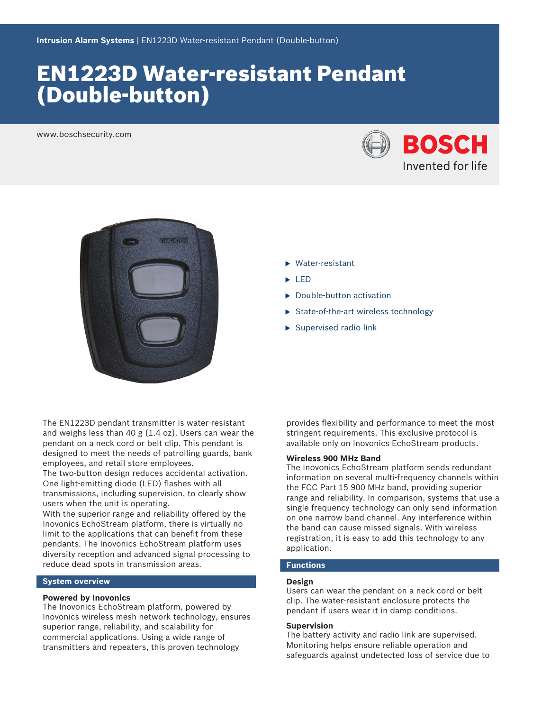# EN1223D Water‑resistant Pendant (Double‑button)

www.boschsecurity.com





- $\blacktriangleright$  Water-resistant
- $L$  LED
- $\blacktriangleright$  Double-button activation
- $\triangleright$  State-of-the-art wireless technology
- $\blacktriangleright$  Supervised radio link

The EN1223D pendant transmitter is water-resistant and weighs less than 40 g (1.4 oz). Users can wear the pendant on a neck cord or belt clip. This pendant is designed to meet the needs of patrolling guards, bank employees, and retail store employees.

The two-button design reduces accidental activation. One light-emitting diode (LED) flashes with all transmissions, including supervision, to clearly show users when the unit is operating.

With the superior range and reliability offered by the Inovonics EchoStream platform, there is virtually no limit to the applications that can benefit from these pendants. The Inovonics EchoStream platform uses diversity reception and advanced signal processing to reduce dead spots in transmission areas.

#### **System overview**

#### **Powered by Inovonics**

The Inovonics EchoStream platform, powered by Inovonics wireless mesh network technology, ensures superior range, reliability, and scalability for commercial applications. Using a wide range of transmitters and repeaters, this proven technology

provides flexibility and performance to meet the most stringent requirements. This exclusive protocol is available only on Inovonics EchoStream products.

# **Wireless 900 MHz Band**

The Inovonics EchoStream platform sends redundant information on several multi-frequency channels within the FCC Part 15 900 MHz band, providing superior range and reliability. In comparison, systems that use a single frequency technology can only send information on one narrow band channel. Any interference within the band can cause missed signals. With wireless registration, it is easy to add this technology to any application.

# **Functions**

#### **Design**

Users can wear the pendant on a neck cord or belt clip. The water‑resistant enclosure protects the pendant if users wear it in damp conditions.

#### **Supervision**

The battery activity and radio link are supervised. Monitoring helps ensure reliable operation and safeguards against undetected loss of service due to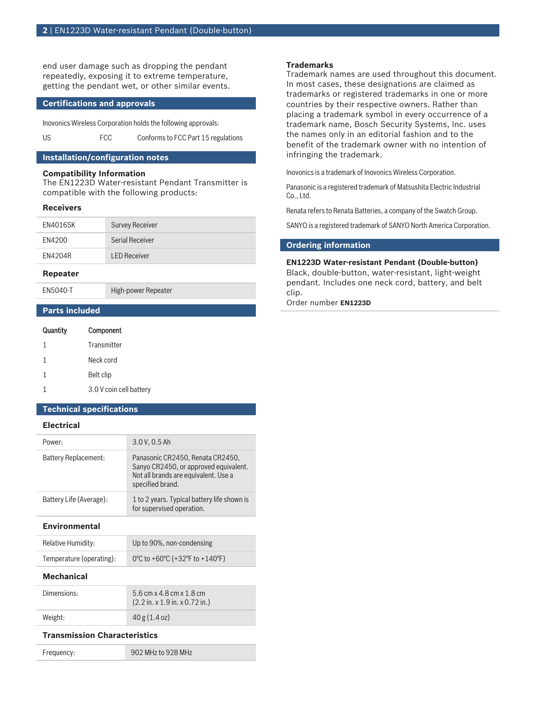end user damage such as dropping the pendant repeatedly, exposing it to extreme temperature, getting the pendant wet, or other similar events.

#### **Certifications and approvals**

Inovonics Wireless Corporation holds the following approvals:

US FCC Conforms to FCC Part 15 regulations

### **Installation/configuration notes**

# **Compatibility Information**

The EN1223D Water‑resistant Pendant Transmitter is compatible with the following products:

#### **Receivers**

| EN4016SK | <b>Survey Receiver</b> |
|----------|------------------------|
| FN4200   | Serial Receiver        |
| FN4204R  | <b>LED Receiver</b>    |

#### **Repeater**

EN5040-T High-power Repeater

**Parts included**

| Quantity | Component               |
|----------|-------------------------|
| 1        | Transmitter             |
| 1        | Neck cord               |
| 1        | Belt clip               |
|          | 3.0 V coin cell battery |

#### **Technical specifications**

#### **Electrical**

| Power:                  | 3.0 V, 0.5 Ah                                                                                                                         |
|-------------------------|---------------------------------------------------------------------------------------------------------------------------------------|
| Battery Replacement:    | Panasonic CR2450, Renata CR2450,<br>Sanyo CR2450, or approved equivalent.<br>Not all brands are equivalent. Use a<br>specified brand. |
| Battery Life (Average): | 1 to 2 years. Typical battery life shown is<br>for supervised operation.                                                              |

#### **Environmental**

| <b>Relative Humidity:</b> | Up to 90%, non-condensing      |
|---------------------------|--------------------------------|
| Temperature (operating):  | 0°C to +60°C (+32°F to +140°F) |

#### **Mechanical**

| Dimensions: | 5.6 cm x 4.8 cm x 1.8 cm<br>$(2.2 \text{ in. x } 1.9 \text{ in. x } 0.72 \text{ in.})$ |
|-------------|----------------------------------------------------------------------------------------|
| Weight:     | 40 g (1.4 oz)                                                                          |

### **Transmission Characteristics**

Frequency: 902 MHz to 928 MHz

### **Trademarks**

Trademark names are used throughout this document. In most cases, these designations are claimed as trademarks or registered trademarks in one or more countries by their respective owners. Rather than placing a trademark symbol in every occurrence of a trademark name, Bosch Security Systems, Inc. uses the names only in an editorial fashion and to the benefit of the trademark owner with no intention of infringing the trademark.

Inovonics is a trademark of Inovonics Wireless Corporation.

Panasonic is a registered trademark of Matsushita Electric Industrial Co., Ltd.

Renata refers to Renata Batteries, a company of the Swatch Group.

SANYO is a registered trademark of SANYO North America Corporation.

#### **Ordering information**

#### **EN1223D Water‑resistant Pendant (Double‑button)**

Black, double-button, water-resistant, light-weight pendant. Includes one neck cord, battery, and belt clip.

Order number **EN1223D**